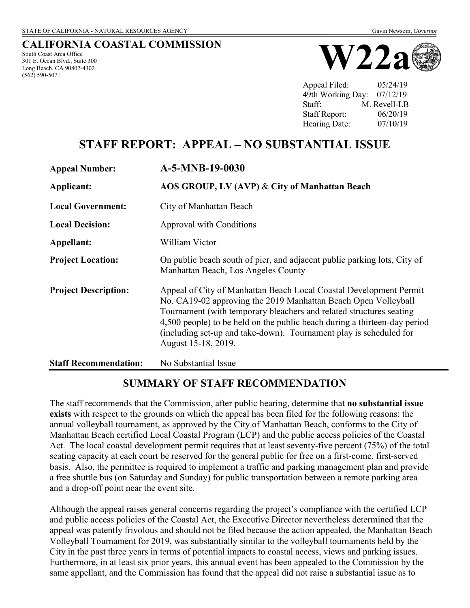#### **CALIFORNIA COASTAL COMMISSION** South Coast Area Office

301 E. Ocean Blvd., Suite 300 Long Beach, CA 90802-4302 (562) 590-5071



Appeal Filed: 05/24/19 49th Working Day: 07/12/19 Staff: M. Revell-LB Staff Report: 06/20/19 Hearing Date:  $07/10/19$ 

# **STAFF REPORT: APPEAL – NO SUBSTANTIAL ISSUE**

| <b>Appeal Number:</b>        | A-5-MNB-19-0030                                                                                                                                                                                                                                                                                                                                                                       |
|------------------------------|---------------------------------------------------------------------------------------------------------------------------------------------------------------------------------------------------------------------------------------------------------------------------------------------------------------------------------------------------------------------------------------|
| Applicant:                   | AOS GROUP, LV (AVP) & City of Manhattan Beach                                                                                                                                                                                                                                                                                                                                         |
| <b>Local Government:</b>     | City of Manhattan Beach                                                                                                                                                                                                                                                                                                                                                               |
| <b>Local Decision:</b>       | Approval with Conditions                                                                                                                                                                                                                                                                                                                                                              |
| Appellant:                   | William Victor                                                                                                                                                                                                                                                                                                                                                                        |
| <b>Project Location:</b>     | On public beach south of pier, and adjacent public parking lots, City of<br>Manhattan Beach, Los Angeles County                                                                                                                                                                                                                                                                       |
| <b>Project Description:</b>  | Appeal of City of Manhattan Beach Local Coastal Development Permit<br>No. CA19-02 approving the 2019 Manhattan Beach Open Volleyball<br>Tournament (with temporary bleachers and related structures seating<br>4,500 people) to be held on the public beach during a thirteen-day period<br>(including set-up and take-down). Tournament play is scheduled for<br>August 15-18, 2019. |
| <b>Staff Recommendation:</b> | No Substantial Issue                                                                                                                                                                                                                                                                                                                                                                  |

## **SUMMARY OF STAFF RECOMMENDATION**

The staff recommends that the Commission, after public hearing, determine that **no substantial issue exists** with respect to the grounds on which the appeal has been filed for the following reasons: the annual volleyball tournament, as approved by the City of Manhattan Beach, conforms to the City of Manhattan Beach certified Local Coastal Program (LCP) and the public access policies of the Coastal Act. The local coastal development permit requires that at least seventy-five percent (75%) of the total seating capacity at each court be reserved for the general public for free on a first-come, first-served basis. Also, the permittee is required to implement a traffic and parking management plan and provide a free shuttle bus (on Saturday and Sunday) for public transportation between a remote parking area and a drop-off point near the event site.

Although the appeal raises general concerns regarding the project's compliance with the certified LCP and public access policies of the Coastal Act, the Executive Director nevertheless determined that the appeal was patently frivolous and should not be filed because the action appealed, the Manhattan Beach Volleyball Tournament for 2019, was substantially similar to the volleyball tournaments held by the City in the past three years in terms of potential impacts to coastal access, views and parking issues. Furthermore, in at least six prior years, this annual event has been appealed to the Commission by the same appellant, and the Commission has found that the appeal did not raise a substantial issue as to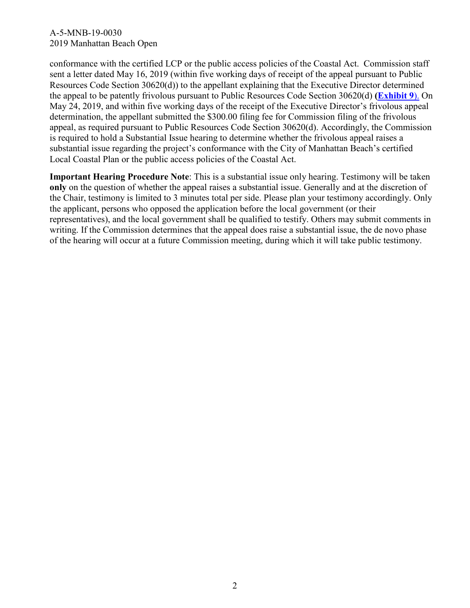conformance with the certified LCP or the public access policies of the Coastal Act. Commission staff sent a letter dated May 16, 2019 (within five working days of receipt of the appeal pursuant to Public Resources Code Section 30620(d)) to the appellant explaining that the Executive Director determined the appeal to be patently frivolous pursuant to Public Resources Code Section 30620(d) **[\(Exhibit 9](https://documents.coastal.ca.gov/reports/2019/7/w22a/w22a-7-2019-exhibits.pdf)**). On May 24, 2019, and within five working days of the receipt of the Executive Director's frivolous appeal determination, the appellant submitted the \$300.00 filing fee for Commission filing of the frivolous appeal, as required pursuant to Public Resources Code Section 30620(d). Accordingly, the Commission is required to hold a Substantial Issue hearing to determine whether the frivolous appeal raises a substantial issue regarding the project's conformance with the City of Manhattan Beach's certified Local Coastal Plan or the public access policies of the Coastal Act.

**Important Hearing Procedure Note**: This is a substantial issue only hearing. Testimony will be taken **only** on the question of whether the appeal raises a substantial issue. Generally and at the discretion of the Chair, testimony is limited to 3 minutes total per side. Please plan your testimony accordingly. Only the applicant, persons who opposed the application before the local government (or their representatives), and the local government shall be qualified to testify. Others may submit comments in writing. If the Commission determines that the appeal does raise a substantial issue, the de novo phase of the hearing will occur at a future Commission meeting, during which it will take public testimony.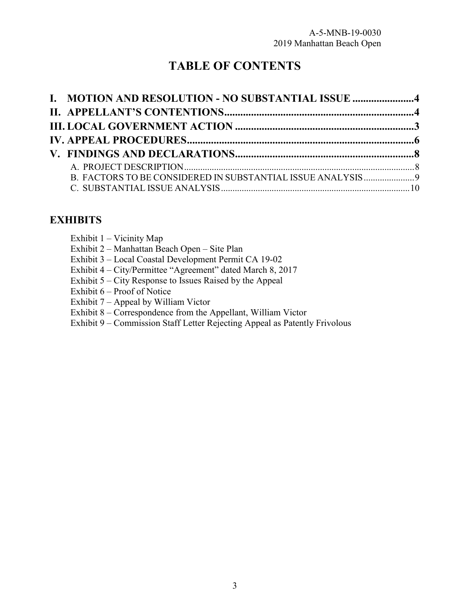# **TABLE OF CONTENTS**

| I. MOTION AND RESOLUTION - NO SUBSTANTIAL ISSUE 4 |  |
|---------------------------------------------------|--|
|                                                   |  |
|                                                   |  |
|                                                   |  |
|                                                   |  |
|                                                   |  |
|                                                   |  |
|                                                   |  |

# **EXHIBITS**

| Exhibit $1 -$ Vicinity Map                                                 |
|----------------------------------------------------------------------------|
| Exhibit 2 – Manhattan Beach Open – Site Plan                               |
| Exhibit 3 – Local Coastal Development Permit CA 19-02                      |
| Exhibit 4 – City/Permittee "Agreement" dated March 8, 2017                 |
| Exhibit 5 – City Response to Issues Raised by the Appeal                   |
| Exhibit 6 – Proof of Notice                                                |
| Exhibit $7 -$ Appeal by William Victor                                     |
| Exhibit 8 – Correspondence from the Appellant, William Victor              |
| Exhibit 9 – Commission Staff Letter Rejecting Appeal as Patently Frivolous |
|                                                                            |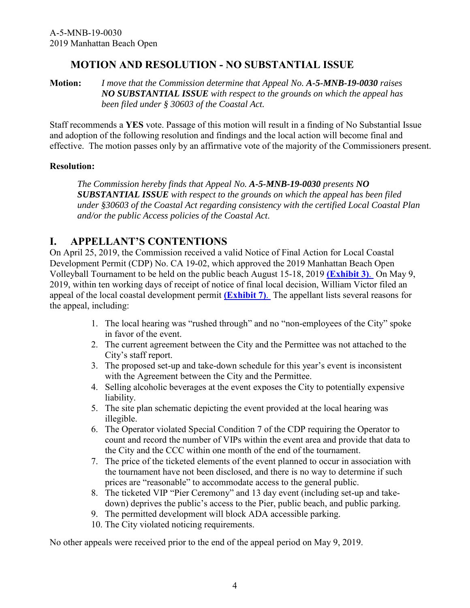### **MOTION AND RESOLUTION - NO SUBSTANTIAL ISSUE**

<span id="page-3-0"></span>**Motion:** *I move that the Commission determine that Appeal No. A-5-MNB-19-0030 raises NO SUBSTANTIAL ISSUE with respect to the grounds on which the appeal has been filed under § 30603 of the Coastal Act.*

Staff recommends a **YES** vote. Passage of this motion will result in a finding of No Substantial Issue and adoption of the following resolution and findings and the local action will become final and effective. The motion passes only by an affirmative vote of the majority of the Commissioners present.

#### **Resolution:**

*The Commission hereby finds that Appeal No. A-5-MNB-19-0030 presents NO SUBSTANTIAL ISSUE with respect to the grounds on which the appeal has been filed under §30603 of the Coastal Act regarding consistency with the certified Local Coastal Plan and/or the public Access policies of the Coastal Act*.

### <span id="page-3-1"></span>**I. APPELLANT'S CONTENTIONS**

On April 25, 2019, the Commission received a valid Notice of Final Action for Local Coastal Development Permit (CDP) No. CA 19-02, which approved the 2019 Manhattan Beach Open Volleyball Tournament to be held on the public beach August 15-18, 2019 **[\(Exhibit 3\)](https://documents.coastal.ca.gov/reports/2019/7/w22a/w22a-7-2019-exhibits.pdf)**. On May 9, 2019, within ten working days of receipt of notice of final local decision, William Victor filed an appeal of the local coastal development permit **[\(Exhibit 7\)](https://documents.coastal.ca.gov/reports/2019/7/w22a/w22a-7-2019-exhibits.pdf)**. The appellant lists several reasons for the appeal, including:

- 1. The local hearing was "rushed through" and no "non-employees of the City" spoke in favor of the event.
- 2. The current agreement between the City and the Permittee was not attached to the City's staff report.
- 3. The proposed set-up and take-down schedule for this year's event is inconsistent with the Agreement between the City and the Permittee.
- 4. Selling alcoholic beverages at the event exposes the City to potentially expensive liability.
- 5. The site plan schematic depicting the event provided at the local hearing was illegible.
- 6. The Operator violated Special Condition 7 of the CDP requiring the Operator to count and record the number of VIPs within the event area and provide that data to the City and the CCC within one month of the end of the tournament.
- 7. The price of the ticketed elements of the event planned to occur in association with the tournament have not been disclosed, and there is no way to determine if such prices are "reasonable" to accommodate access to the general public.
- 8. The ticketed VIP "Pier Ceremony" and 13 day event (including set-up and takedown) deprives the public's access to the Pier, public beach, and public parking.
- 9. The permitted development will block ADA accessible parking.
- 10. The City violated noticing requirements.

No other appeals were received prior to the end of the appeal period on May 9, 2019.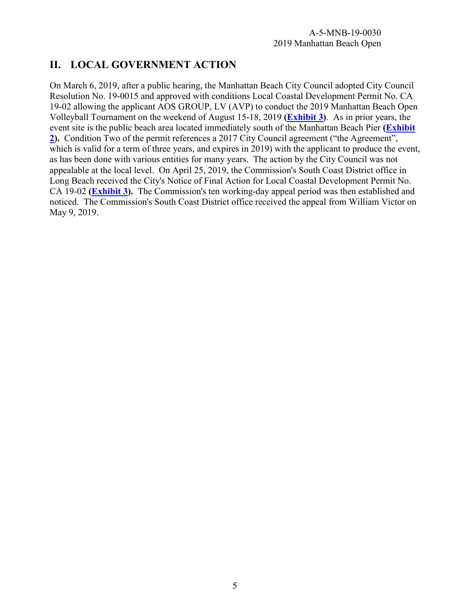# <span id="page-4-0"></span>**II. LOCAL GOVERNMENT ACTION**

<span id="page-4-1"></span>On March 6, 2019, after a public hearing, the Manhattan Beach City Council adopted City Council Resolution No. 19-0015 and approved with conditions Local Coastal Development Permit No. CA 19-02 allowing the applicant AOS GROUP, LV (AVP) to conduct the 2019 Manhattan Beach Open Volleyball Tournament on the weekend of August 15-18, 2019 **[\(Exhibit](https://documents.coastal.ca.gov/reports/2019/7/w22a/w22a-7-2019-exhibits.pdf) 3)**. As in prior years, the event site is the public beach area located immediately south of the Manhattan Beach Pier **[\(Exhibit](https://documents.coastal.ca.gov/reports/2019/7/w22a/w22a-7-2019-exhibits.pdf) [2\)](https://documents.coastal.ca.gov/reports/2019/7/w22a/w22a-7-2019-exhibits.pdf).** Condition Two of the permit references a 2017 City Council agreement ("the Agreement", which is valid for a term of three years, and expires in 2019) with the applicant to produce the event, as has been done with various entities for many years. The action by the City Council was not appealable at the local level. On April 25, 2019, the Commission's South Coast District office in Long Beach received the City's Notice of Final Action for Local Coastal Development Permit No. CA 19-02 **[\(Exhibit 3\)](https://documents.coastal.ca.gov/reports/2019/7/w22a/w22a-7-2019-exhibits.pdf).** The Commission's ten working-day appeal period was then established and noticed. The Commission's South Coast District office received the appeal from William Victor on May 9, 2019.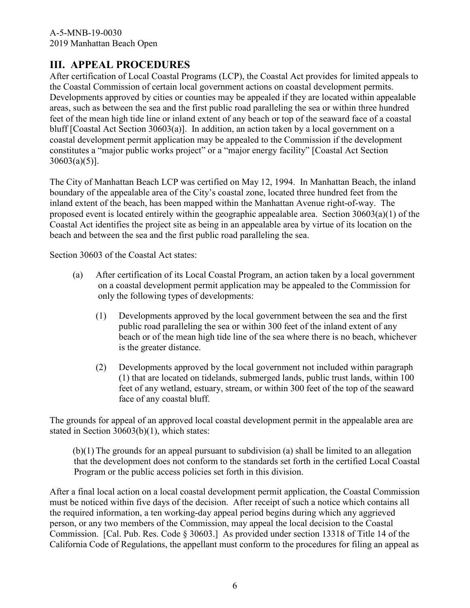# **III. APPEAL PROCEDURES**

After certification of Local Coastal Programs (LCP), the Coastal Act provides for limited appeals to the Coastal Commission of certain local government actions on coastal development permits. Developments approved by cities or counties may be appealed if they are located within appealable areas, such as between the sea and the first public road paralleling the sea or within three hundred feet of the mean high tide line or inland extent of any beach or top of the seaward face of a coastal bluff [Coastal Act Section 30603(a)]. In addition, an action taken by a local government on a coastal development permit application may be appealed to the Commission if the development constitutes a "major public works project" or a "major energy facility" [Coastal Act Section  $30603(a)(5)$ ].

The City of Manhattan Beach LCP was certified on May 12, 1994. In Manhattan Beach, the inland boundary of the appealable area of the City's coastal zone, located three hundred feet from the inland extent of the beach, has been mapped within the Manhattan Avenue right-of-way. The proposed event is located entirely within the geographic appealable area. Section 30603(a)(1) of the Coastal Act identifies the project site as being in an appealable area by virtue of its location on the beach and between the sea and the first public road paralleling the sea.

Section 30603 of the Coastal Act states:

- (a) After certification of its Local Coastal Program, an action taken by a local government on a coastal development permit application may be appealed to the Commission for only the following types of developments:
	- (1) Developments approved by the local government between the sea and the first public road paralleling the sea or within 300 feet of the inland extent of any beach or of the mean high tide line of the sea where there is no beach, whichever is the greater distance.
	- (2) Developments approved by the local government not included within paragraph (1) that are located on tidelands, submerged lands, public trust lands, within 100 feet of any wetland, estuary, stream, or within 300 feet of the top of the seaward face of any coastal bluff.

The grounds for appeal of an approved local coastal development permit in the appealable area are stated in Section 30603(b)(1), which states:

(b)(1) The grounds for an appeal pursuant to subdivision (a) shall be limited to an allegation that the development does not conform to the standards set forth in the certified Local Coastal Program or the public access policies set forth in this division.

After a final local action on a local coastal development permit application, the Coastal Commission must be noticed within five days of the decision. After receipt of such a notice which contains all the required information, a ten working-day appeal period begins during which any aggrieved person, or any two members of the Commission, may appeal the local decision to the Coastal Commission. [Cal. Pub. Res. Code § 30603.] As provided under section 13318 of Title 14 of the California Code of Regulations, the appellant must conform to the procedures for filing an appeal as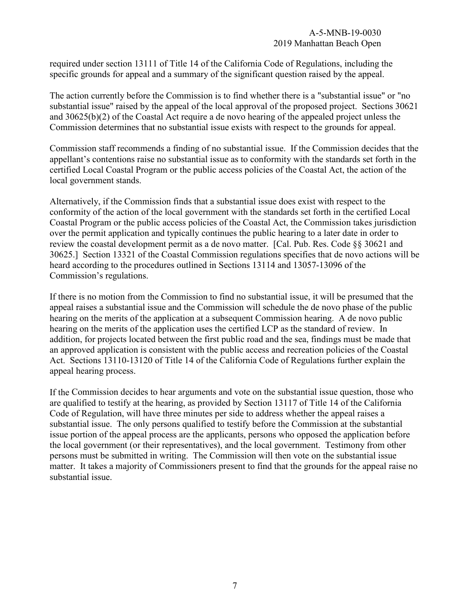required under section 13111 of Title 14 of the California Code of Regulations, including the specific grounds for appeal and a summary of the significant question raised by the appeal.

The action currently before the Commission is to find whether there is a "substantial issue" or "no substantial issue" raised by the appeal of the local approval of the proposed project. Sections 30621 and 30625(b)(2) of the Coastal Act require a de novo hearing of the appealed project unless the Commission determines that no substantial issue exists with respect to the grounds for appeal.

Commission staff recommends a finding of no substantial issue. If the Commission decides that the appellant's contentions raise no substantial issue as to conformity with the standards set forth in the certified Local Coastal Program or the public access policies of the Coastal Act, the action of the local government stands.

Alternatively, if the Commission finds that a substantial issue does exist with respect to the conformity of the action of the local government with the standards set forth in the certified Local Coastal Program or the public access policies of the Coastal Act, the Commission takes jurisdiction over the permit application and typically continues the public hearing to a later date in order to review the coastal development permit as a de novo matter. [Cal. Pub. Res. Code §§ 30621 and 30625.] Section 13321 of the Coastal Commission regulations specifies that de novo actions will be heard according to the procedures outlined in Sections 13114 and 13057-13096 of the Commission's regulations.

If there is no motion from the Commission to find no substantial issue, it will be presumed that the appeal raises a substantial issue and the Commission will schedule the de novo phase of the public hearing on the merits of the application at a subsequent Commission hearing. A de novo public hearing on the merits of the application uses the certified LCP as the standard of review. In addition, for projects located between the first public road and the sea, findings must be made that an approved application is consistent with the public access and recreation policies of the Coastal Act. Sections 13110-13120 of Title 14 of the California Code of Regulations further explain the appeal hearing process.

If the Commission decides to hear arguments and vote on the substantial issue question, those who are qualified to testify at the hearing, as provided by Section 13117 of Title 14 of the California Code of Regulation, will have three minutes per side to address whether the appeal raises a substantial issue. The only persons qualified to testify before the Commission at the substantial issue portion of the appeal process are the applicants, persons who opposed the application before the local government (or their representatives), and the local government. Testimony from other persons must be submitted in writing. The Commission will then vote on the substantial issue matter. It takes a majority of Commissioners present to find that the grounds for the appeal raise no substantial issue.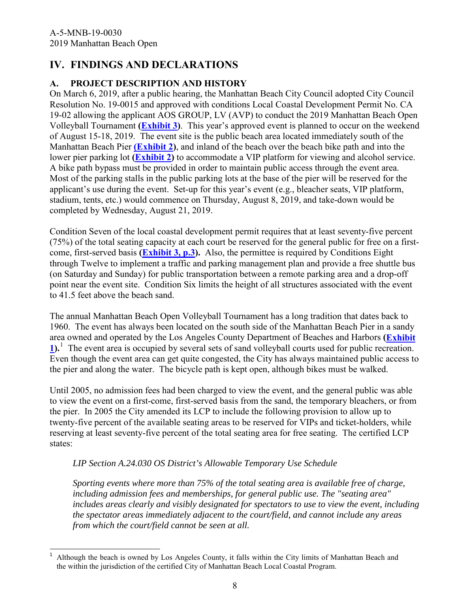# <span id="page-7-0"></span>**IV. FINDINGS AND DECLARATIONS**

### <span id="page-7-1"></span>**A. PROJECT DESCRIPTION AND HISTORY**

On March 6, 2019, after a public hearing, the Manhattan Beach City Council adopted City Council Resolution No. 19-0015 and approved with conditions Local Coastal Development Permit No. CA 19-02 allowing the applicant AOS GROUP, LV (AVP) to conduct the 2019 Manhattan Beach Open Volleyball Tournament **[\(Exhibit 3\)](https://documents.coastal.ca.gov/reports/2019/7/w22a/w22a-7-2019-exhibits.pdf)**. This year's approved event is planned to occur on the weekend of August 15-18, 2019. The event site is the public beach area located immediately south of the Manhattan Beach Pier **[\(Exhibit 2\)](https://documents.coastal.ca.gov/reports/2019/7/w22a/w22a-7-2019-exhibits.pdf)**, and inland of the beach over the beach bike path and into the lower pier parking lot **[\(Exhibit 2\)](https://documents.coastal.ca.gov/reports/2019/7/w22a/w22a-7-2019-exhibits.pdf)** to accommodate a VIP platform for viewing and alcohol service. A bike path bypass must be provided in order to maintain public access through the event area. Most of the parking stalls in the public parking lots at the base of the pier will be reserved for the applicant's use during the event. Set-up for this year's event (e.g., bleacher seats, VIP platform, stadium, tents, etc.) would commence on Thursday, August 8, 2019, and take-down would be completed by Wednesday, August 21, 2019.

Condition Seven of the local coastal development permit requires that at least seventy-five percent (75%) of the total seating capacity at each court be reserved for the general public for free on a firstcome, first-served basis **[\(Exhibit 3, p.3\)](https://documents.coastal.ca.gov/reports/2019/7/w22a/w22a-7-2019-exhibits.pdf).** Also, the permittee is required by Conditions Eight through Twelve to implement a traffic and parking management plan and provide a free shuttle bus (on Saturday and Sunday) for public transportation between a remote parking area and a drop-off point near the event site. Condition Six limits the height of all structures associated with the event to 41.5 feet above the beach sand.

The annual Manhattan Beach Open Volleyball Tournament has a long tradition that dates back to 1960. The event has always been located on the south side of the Manhattan Beach Pier in a sandy area owned and operated by the Los Angeles County Department of Beaches and Harbors **[\(Exhibit](https://documents.coastal.ca.gov/reports/2019/7/w22a/w22a-7-2019-exhibits.pdf)  [1\)](https://documents.coastal.ca.gov/reports/2019/7/w22a/w22a-7-2019-exhibits.pdf).**[1](#page-7-2) The event area is occupied by several sets of sand volleyball courts used for public recreation. Even though the event area can get quite congested, the City has always maintained public access to the pier and along the water. The bicycle path is kept open, although bikes must be walked.

Until 2005, no admission fees had been charged to view the event, and the general public was able to view the event on a first-come, first-served basis from the sand, the temporary bleachers, or from the pier. In 2005 the City amended its LCP to include the following provision to allow up to twenty-five percent of the available seating areas to be reserved for VIPs and ticket-holders, while reserving at least seventy-five percent of the total seating area for free seating. The certified LCP states:

### *LIP Section A.24.030 OS District's Allowable Temporary Use Schedule*

*Sporting events where more than 75% of the total seating area is available free of charge, including admission fees and memberships, for general public use. The "seating area" includes areas clearly and visibly designated for spectators to use to view the event, including the spectator areas immediately adjacent to the court/field, and cannot include any areas from which the court/field cannot be seen at all.*

<span id="page-7-2"></span> $\overline{\phantom{a}}$ 1 Although the beach is owned by Los Angeles County, it falls within the City limits of Manhattan Beach and the within the jurisdiction of the certified City of Manhattan Beach Local Coastal Program.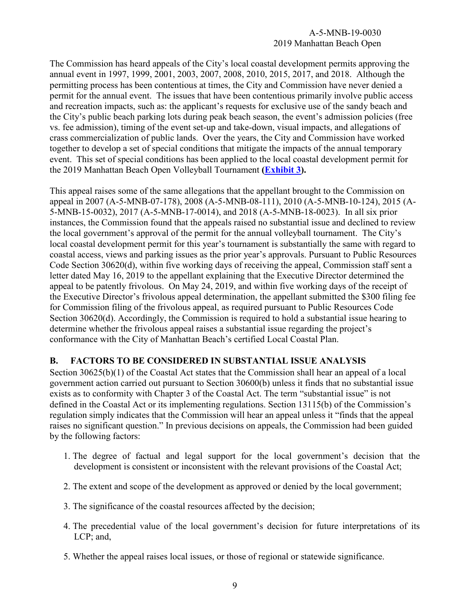The Commission has heard appeals of the City's local coastal development permits approving the annual event in 1997, 1999, 2001, 2003, 2007, 2008, 2010, 2015, 2017, and 2018. Although the permitting process has been contentious at times, the City and Commission have never denied a permit for the annual event. The issues that have been contentious primarily involve public access and recreation impacts, such as: the applicant's requests for exclusive use of the sandy beach and the City's public beach parking lots during peak beach season, the event's admission policies (free vs. fee admission), timing of the event set-up and take-down, visual impacts, and allegations of crass commercialization of public lands. Over the years, the City and Commission have worked together to develop a set of special conditions that mitigate the impacts of the annual temporary event. This set of special conditions has been applied to the local coastal development permit for the 2019 Manhattan Beach Open Volleyball Tournament **[\(Exhibit 3\)](https://documents.coastal.ca.gov/reports/2019/7/w22a/w22a-7-2019-exhibits.pdf).**

This appeal raises some of the same allegations that the appellant brought to the Commission on appeal in 2007 (A-5-MNB-07-178), 2008 (A-5-MNB-08-111), 2010 (A-5-MNB-10-124), 2015 (A-5-MNB-15-0032), 2017 (A-5-MNB-17-0014), and 2018 (A-5-MNB-18-0023). In all six prior instances, the Commission found that the appeals raised no substantial issue and declined to review the local government's approval of the permit for the annual volleyball tournament. The City's local coastal development permit for this year's tournament is substantially the same with regard to coastal access, views and parking issues as the prior year's approvals. Pursuant to Public Resources Code Section 30620(d), within five working days of receiving the appeal, Commission staff sent a letter dated May 16, 2019 to the appellant explaining that the Executive Director determined the appeal to be patently frivolous. On May 24, 2019, and within five working days of the receipt of the Executive Director's frivolous appeal determination, the appellant submitted the \$300 filing fee for Commission filing of the frivolous appeal, as required pursuant to Public Resources Code Section 30620(d). Accordingly, the Commission is required to hold a substantial issue hearing to determine whether the frivolous appeal raises a substantial issue regarding the project's conformance with the City of Manhattan Beach's certified Local Coastal Plan.

#### <span id="page-8-0"></span>**B. FACTORS TO BE CONSIDERED IN SUBSTANTIAL ISSUE ANALYSIS**

Section 30625(b)(1) of the Coastal Act states that the Commission shall hear an appeal of a local government action carried out pursuant to Section 30600(b) unless it finds that no substantial issue exists as to conformity with Chapter 3 of the Coastal Act. The term "substantial issue" is not defined in the Coastal Act or its implementing regulations. Section 13115(b) of the Commission's regulation simply indicates that the Commission will hear an appeal unless it "finds that the appeal raises no significant question." In previous decisions on appeals, the Commission had been guided by the following factors:

- 1. The degree of factual and legal support for the local government's decision that the development is consistent or inconsistent with the relevant provisions of the Coastal Act;
- 2. The extent and scope of the development as approved or denied by the local government;
- 3. The significance of the coastal resources affected by the decision;
- 4. The precedential value of the local government's decision for future interpretations of its LCP; and,
- 5. Whether the appeal raises local issues, or those of regional or statewide significance.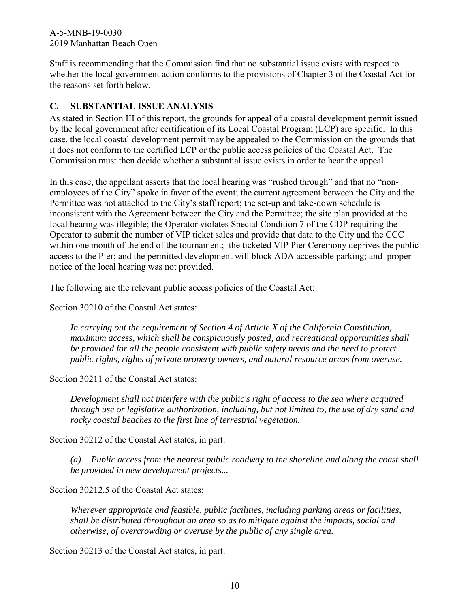Staff is recommending that the Commission find that no substantial issue exists with respect to whether the local government action conforms to the provisions of Chapter 3 of the Coastal Act for the reasons set forth below.

### <span id="page-9-0"></span>**C. SUBSTANTIAL ISSUE ANALYSIS**

As stated in Section III of this report, the grounds for appeal of a coastal development permit issued by the local government after certification of its Local Coastal Program (LCP) are specific. In this case, the local coastal development permit may be appealed to the Commission on the grounds that it does not conform to the certified LCP or the public access policies of the Coastal Act. The Commission must then decide whether a substantial issue exists in order to hear the appeal.

In this case, the appellant asserts that the local hearing was "rushed through" and that no "nonemployees of the City" spoke in favor of the event; the current agreement between the City and the Permittee was not attached to the City's staff report; the set-up and take-down schedule is inconsistent with the Agreement between the City and the Permittee; the site plan provided at the local hearing was illegible; the Operator violates Special Condition 7 of the CDP requiring the Operator to submit the number of VIP ticket sales and provide that data to the City and the CCC within one month of the end of the tournament; the ticketed VIP Pier Ceremony deprives the public access to the Pier; and the permitted development will block ADA accessible parking; and proper notice of the local hearing was not provided.

The following are the relevant public access policies of the Coastal Act:

Section 30210 of the Coastal Act states:

*In carrying out the requirement of Section 4 of Article X of the California Constitution, maximum access, which shall be conspicuously posted, and recreational opportunities shall be provided for all the people consistent with public safety needs and the need to protect public rights, rights of private property owners, and natural resource areas from overuse.*

Section 30211 of the Coastal Act states:

*Development shall not interfere with the public's right of access to the sea where acquired through use or legislative authorization, including, but not limited to, the use of dry sand and rocky coastal beaches to the first line of terrestrial vegetation.*

Section 30212 of the Coastal Act states, in part:

*(a) Public access from the nearest public roadway to the shoreline and along the coast shall be provided in new development projects...*

Section 30212.5 of the Coastal Act states:

*Wherever appropriate and feasible, public facilities, including parking areas or facilities, shall be distributed throughout an area so as to mitigate against the impacts, social and otherwise, of overcrowding or overuse by the public of any single area.*

Section 30213 of the Coastal Act states, in part: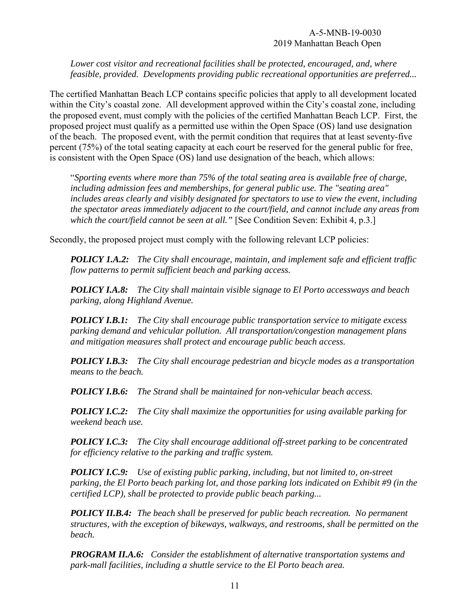*Lower cost visitor and recreational facilities shall be protected, encouraged, and, where feasible, provided. Developments providing public recreational opportunities are preferred...*

The certified Manhattan Beach LCP contains specific policies that apply to all development located within the City's coastal zone. All development approved within the City's coastal zone, including the proposed event, must comply with the policies of the certified Manhattan Beach LCP. First, the proposed project must qualify as a permitted use within the Open Space (OS) land use designation of the beach. The proposed event, with the permit condition that requires that at least seventy-five percent (75%) of the total seating capacity at each court be reserved for the general public for free, is consistent with the Open Space (OS) land use designation of the beach, which allows:

"*Sporting events where more than 75% of the total seating area is available free of charge, including admission fees and memberships, for general public use. The "seating area" includes areas clearly and visibly designated for spectators to use to view the event, including the spectator areas immediately adjacent to the court/field, and cannot include any areas from which the court/field cannot be seen at all.*" [See Condition Seven: Exhibit 4, p.3.]

Secondly, the proposed project must comply with the following relevant LCP policies:

*POLICY 1.A.2: The City shall encourage, maintain, and implement safe and efficient traffic flow patterns to permit sufficient beach and parking access.*

*POLICY I.A.8: The City shall maintain visible signage to El Porto accessways and beach parking, along Highland Avenue.*

*POLICY I.B.1: The City shall encourage public transportation service to mitigate excess parking demand and vehicular pollution. All transportation/congestion management plans and mitigation measures shall protect and encourage public beach access.*

*POLICY I.B.3: The City shall encourage pedestrian and bicycle modes as a transportation means to the beach.*

*POLICY I.B.6: The Strand shall be maintained for non-vehicular beach access.*

*POLICY I.C.2: The City shall maximize the opportunities for using available parking for weekend beach use.*

*POLICY I.C.3: The City shall encourage additional off-street parking to be concentrated for efficiency relative to the parking and traffic system.*

*POLICY I.C.9: Use of existing public parking, including, but not limited to, on-street parking, the El Porto beach parking lot, and those parking lots indicated on Exhibit #9 (in the certified LCP), shall be protected to provide public beach parking...* 

*POLICY II.B.4: The beach shall be preserved for public beach recreation. No permanent structures, with the exception of bikeways, walkways, and restrooms, shall be permitted on the beach.*

*PROGRAM II.A.6: Consider the establishment of alternative transportation systems and park-mall facilities, including a shuttle service to the El Porto beach area.*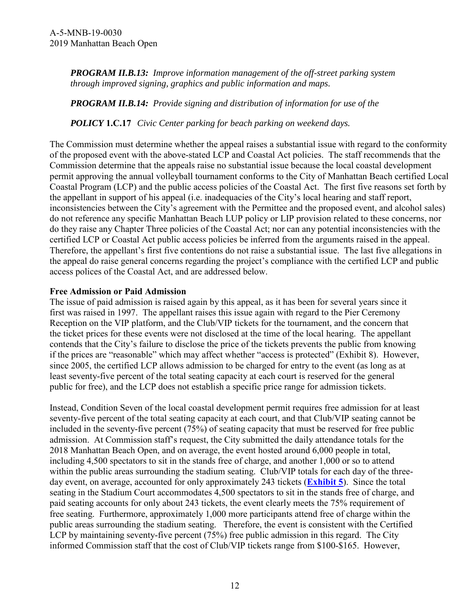*PROGRAM II.B.13: Improve information management of the off-street parking system through improved signing, graphics and public information and maps.*

*PROGRAM II.B.14: Provide signing and distribution of information for use of the* 

*POLICY* **1.C.17** *Civic Center parking for beach parking on weekend days.* 

The Commission must determine whether the appeal raises a substantial issue with regard to the conformity of the proposed event with the above-stated LCP and Coastal Act policies. The staff recommends that the Commission determine that the appeals raise no substantial issue because the local coastal development permit approving the annual volleyball tournament conforms to the City of Manhattan Beach certified Local Coastal Program (LCP) and the public access policies of the Coastal Act. The first five reasons set forth by the appellant in support of his appeal (i.e. inadequacies of the City's local hearing and staff report, inconsistencies between the City's agreement with the Permittee and the proposed event, and alcohol sales) do not reference any specific Manhattan Beach LUP policy or LIP provision related to these concerns, nor do they raise any Chapter Three policies of the Coastal Act; nor can any potential inconsistencies with the certified LCP or Coastal Act public access policies be inferred from the arguments raised in the appeal. Therefore, the appellant's first five contentions do not raise a substantial issue. The last five allegations in the appeal do raise general concerns regarding the project's compliance with the certified LCP and public access polices of the Coastal Act, and are addressed below.

#### **Free Admission or Paid Admission**

The issue of paid admission is raised again by this appeal, as it has been for several years since it first was raised in 1997. The appellant raises this issue again with regard to the Pier Ceremony Reception on the VIP platform, and the Club/VIP tickets for the tournament, and the concern that the ticket prices for these events were not disclosed at the time of the local hearing. The appellant contends that the City's failure to disclose the price of the tickets prevents the public from knowing if the prices are "reasonable" which may affect whether "access is protected" (Exhibit 8). However, since 2005, the certified LCP allows admission to be charged for entry to the event (as long as at least seventy-five percent of the total seating capacity at each court is reserved for the general public for free), and the LCP does not establish a specific price range for admission tickets.

Instead, Condition Seven of the local coastal development permit requires free admission for at least seventy-five percent of the total seating capacity at each court, and that Club/VIP seating cannot be included in the seventy-five percent (75%) of seating capacity that must be reserved for free public admission. At Commission staff's request, the City submitted the daily attendance totals for the 2018 Manhattan Beach Open, and on average, the event hosted around 6,000 people in total, including 4,500 spectators to sit in the stands free of charge, and another 1,000 or so to attend within the public areas surrounding the stadium seating. Club/VIP totals for each day of the threeday event, on average, accounted for only approximately 243 tickets (**[Exhibit 5](https://documents.coastal.ca.gov/reports/2019/7/w22a/w22a-7-2019-exhibits.pdf)**). Since the total seating in the Stadium Court accommodates 4,500 spectators to sit in the stands free of charge, and paid seating accounts for only about 243 tickets, the event clearly meets the 75% requirement of free seating. Furthermore, approximately 1,000 more participants attend free of charge within the public areas surrounding the stadium seating. Therefore, the event is consistent with the Certified LCP by maintaining seventy-five percent (75%) free public admission in this regard. The City informed Commission staff that the cost of Club/VIP tickets range from \$100-\$165. However,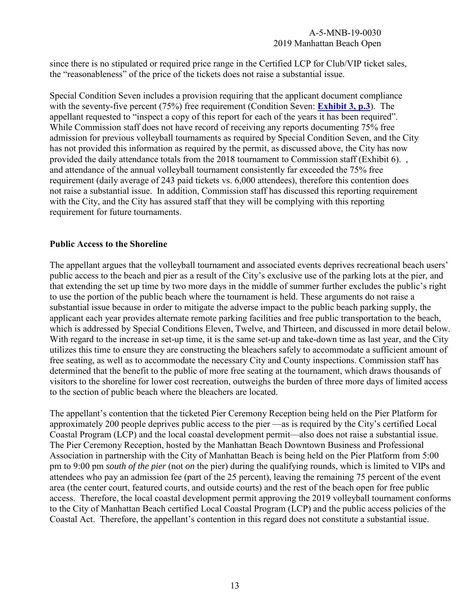since there is no stipulated or required price range in the Certified LCP for Club/VIP ticket sales, the "reasonableness" of the price of the tickets does not raise a substantial issue.

Special Condition Seven includes a provision requiring that the applicant document compliance with the seventy-five percent (75%) free requirement (Condition Seven: **[Exhibit 3, p.3](https://documents.coastal.ca.gov/reports/2019/7/w22a/w22a-7-2019-exhibits.pdf)**). The appellant requested to "inspect a copy of this report for each of the years it has been required". While Commission staff does not have record of receiving any reports documenting 75% free admission for previous volleyball tournaments as required by Special Condition Seven, and the City has not provided this information as required by the permit, as discussed above, the City has now provided the daily attendance totals from the 2018 tournament to Commission staff (Exhibit 6). , and attendance of the annual volleyball tournament consistently far exceeded the 75% free requirement (daily average of 243 paid tickets vs. 6,000 attendees), therefore this contention does not raise a substantial issue. In addition, Commission staff has discussed this reporting requirement with the City, and the City has assured staff that they will be complying with this reporting requirement for future tournaments.

#### **Public Access to the Shoreline**

The appellant argues that the volleyball tournament and associated events deprives recreational beach users' public access to the beach and pier as a result of the City's exclusive use of the parking lots at the pier, and that extending the set up time by two more days in the middle of summer further excludes the public's right to use the portion of the public beach where the tournament is held. These arguments do not raise a substantial issue because in order to mitigate the adverse impact to the public beach parking supply, the applicant each year provides alternate remote parking facilities and free public transportation to the beach, which is addressed by Special Conditions Eleven, Twelve, and Thirteen, and discussed in more detail below. With regard to the increase in set-up time, it is the same set-up and take-down time as last year, and the City utilizes this time to ensure they are constructing the bleachers safely to accommodate a sufficient amount of free seating, as well as to accommodate the necessary City and County inspections. Commission staff has determined that the benefit to the public of more free seating at the tournament, which draws thousands of visitors to the shoreline for lower cost recreation, outweighs the burden of three more days of limited access to the section of public beach where the bleachers are located.

The appellant's contention that the ticketed Pier Ceremony Reception being held on the Pier Platform for approximately 200 people deprives public access to the pier —as is required by the City's certified Local Coastal Program (LCP) and the local coastal development permit—also does not raise a substantial issue. The Pier Ceremony Reception, hosted by the Manhattan Beach Downtown Business and Professional Association in partnership with the City of Manhattan Beach is being held on the Pier Platform from 5:00 pm to 9:00 pm *south of the pier* (not *on* the pier) during the qualifying rounds, which is limited to VIPs and attendees who pay an admission fee (part of the 25 percent), leaving the remaining 75 percent of the event area (the center court, featured courts, and outside courts) and the rest of the beach open for free public access. Therefore, the local coastal development permit approving the 2019 volleyball tournament conforms to the City of Manhattan Beach certified Local Coastal Program (LCP) and the public access policies of the Coastal Act. Therefore, the appellant's contention in this regard does not constitute a substantial issue.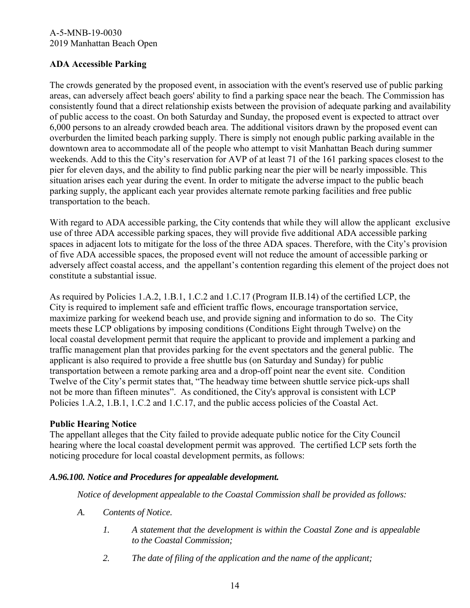### **ADA Accessible Parking**

The crowds generated by the proposed event, in association with the event's reserved use of public parking areas, can adversely affect beach goers' ability to find a parking space near the beach. The Commission has consistently found that a direct relationship exists between the provision of adequate parking and availability of public access to the coast. On both Saturday and Sunday, the proposed event is expected to attract over 6,000 persons to an already crowded beach area. The additional visitors drawn by the proposed event can overburden the limited beach parking supply. There is simply not enough public parking available in the downtown area to accommodate all of the people who attempt to visit Manhattan Beach during summer weekends. Add to this the City's reservation for AVP of at least 71 of the 161 parking spaces closest to the pier for eleven days, and the ability to find public parking near the pier will be nearly impossible. This situation arises each year during the event. In order to mitigate the adverse impact to the public beach parking supply, the applicant each year provides alternate remote parking facilities and free public transportation to the beach.

With regard to ADA accessible parking, the City contends that while they will allow the applicant exclusive use of three ADA accessible parking spaces, they will provide five additional ADA accessible parking spaces in adjacent lots to mitigate for the loss of the three ADA spaces. Therefore, with the City's provision of five ADA accessible spaces, the proposed event will not reduce the amount of accessible parking or adversely affect coastal access, and the appellant's contention regarding this element of the project does not constitute a substantial issue.

As required by Policies 1.A.2, 1.B.1, 1.C.2 and 1.C.17 (Program II.B.14) of the certified LCP, the City is required to implement safe and efficient traffic flows, encourage transportation service, maximize parking for weekend beach use, and provide signing and information to do so. The City meets these LCP obligations by imposing conditions (Conditions Eight through Twelve) on the local coastal development permit that require the applicant to provide and implement a parking and traffic management plan that provides parking for the event spectators and the general public. The applicant is also required to provide a free shuttle bus (on Saturday and Sunday) for public transportation between a remote parking area and a drop-off point near the event site. Condition Twelve of the City's permit states that, "The headway time between shuttle service pick-ups shall not be more than fifteen minutes". As conditioned, the City's approval is consistent with LCP Policies 1.A.2, 1.B.1, 1.C.2 and 1.C.17, and the public access policies of the Coastal Act.

#### **Public Hearing Notice**

The appellant alleges that the City failed to provide adequate public notice for the City Council hearing where the local coastal development permit was approved. The certified LCP sets forth the noticing procedure for local coastal development permits, as follows:

#### *A.96.100. Notice and Procedures for appealable development.*

*Notice of development appealable to the Coastal Commission shall be provided as follows:*

- *A. Contents of Notice.*
	- *1. A statement that the development is within the Coastal Zone and is appealable to the Coastal Commission;*
	- *2. The date of filing of the application and the name of the applicant;*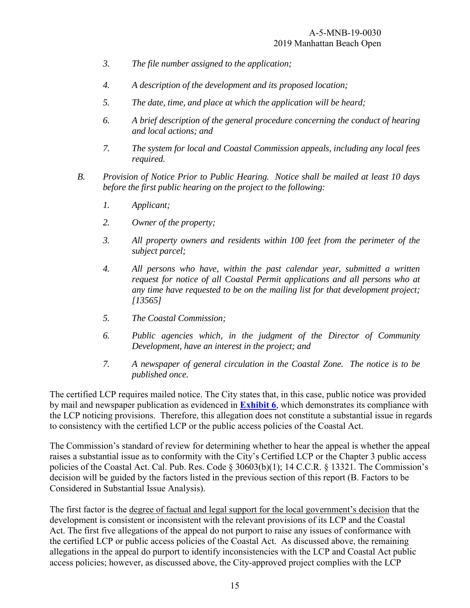- *3. The file number assigned to the application;*
- *4. A description of the development and its proposed location;*
- *5. The date, time, and place at which the application will be heard;*
- *6. A brief description of the general procedure concerning the conduct of hearing and local actions; and*
- *7. The system for local and Coastal Commission appeals, including any local fees required.*
- *B. Provision of Notice Prior to Public Hearing. Notice shall be mailed at least 10 days before the first public hearing on the project to the following:*
	- *1. Applicant;*
	- *2. Owner of the property;*
	- *3. All property owners and residents within 100 feet from the perimeter of the subject parcel;*
	- *4. All persons who have, within the past calendar year, submitted a written request for notice of all Coastal Permit applications and all persons who at any time have requested to be on the mailing list for that development project; [13565]*
	- *5. The Coastal Commission;*
	- *6. Public agencies which, in the judgment of the Director of Community Development, have an interest in the project; and*
	- *7. A newspaper of general circulation in the Coastal Zone. The notice is to be published once.*

The certified LCP requires mailed notice. The City states that, in this case, public notice was provided by mail and newspaper publication as evidenced in **[Exhibit 6](https://documents.coastal.ca.gov/reports/2019/7/w22a/w22a-7-2019-exhibits.pdf)**, which demonstrates its compliance with the LCP noticing provisions. Therefore, this allegation does not constitute a substantial issue in regards to consistency with the certified LCP or the public access policies of the Coastal Act.

The Commission's standard of review for determining whether to hear the appeal is whether the appeal raises a substantial issue as to conformity with the City's Certified LCP or the Chapter 3 public access policies of the Coastal Act. Cal. Pub. Res. Code § 30603(b)(1); 14 C.C.R. § 13321. The Commission's decision will be guided by the factors listed in the previous section of this report (B. Factors to be Considered in Substantial Issue Analysis).

The first factor is the degree of factual and legal support for the local government's decision that the development is consistent or inconsistent with the relevant provisions of its LCP and the Coastal Act. The first five allegations of the appeal do not purport to raise any issues of conformance with the certified LCP or public access policies of the Coastal Act. As discussed above, the remaining allegations in the appeal do purport to identify inconsistencies with the LCP and Coastal Act public access policies; however, as discussed above, the City-approved project complies with the LCP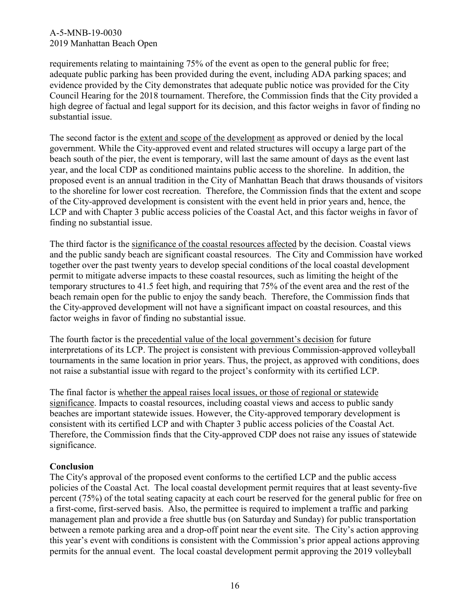requirements relating to maintaining 75% of the event as open to the general public for free; adequate public parking has been provided during the event, including ADA parking spaces; and evidence provided by the City demonstrates that adequate public notice was provided for the City Council Hearing for the 2018 tournament. Therefore, the Commission finds that the City provided a high degree of factual and legal support for its decision, and this factor weighs in favor of finding no substantial issue.

The second factor is the extent and scope of the development as approved or denied by the local government. While the City-approved event and related structures will occupy a large part of the beach south of the pier, the event is temporary, will last the same amount of days as the event last year, and the local CDP as conditioned maintains public access to the shoreline. In addition, the proposed event is an annual tradition in the City of Manhattan Beach that draws thousands of visitors to the shoreline for lower cost recreation. Therefore, the Commission finds that the extent and scope of the City-approved development is consistent with the event held in prior years and, hence, the LCP and with Chapter 3 public access policies of the Coastal Act, and this factor weighs in favor of finding no substantial issue.

The third factor is the significance of the coastal resources affected by the decision. Coastal views and the public sandy beach are significant coastal resources. The City and Commission have worked together over the past twenty years to develop special conditions of the local coastal development permit to mitigate adverse impacts to these coastal resources, such as limiting the height of the temporary structures to 41.5 feet high, and requiring that 75% of the event area and the rest of the beach remain open for the public to enjoy the sandy beach. Therefore, the Commission finds that the City-approved development will not have a significant impact on coastal resources, and this factor weighs in favor of finding no substantial issue.

The fourth factor is the precedential value of the local government's decision for future interpretations of its LCP. The project is consistent with previous Commission-approved volleyball tournaments in the same location in prior years. Thus, the project, as approved with conditions, does not raise a substantial issue with regard to the project's conformity with its certified LCP.

The final factor is whether the appeal raises local issues, or those of regional or statewide significance. Impacts to coastal resources, including coastal views and access to public sandy beaches are important statewide issues. However, the City-approved temporary development is consistent with its certified LCP and with Chapter 3 public access policies of the Coastal Act. Therefore, the Commission finds that the City-approved CDP does not raise any issues of statewide significance.

#### **Conclusion**

The City's approval of the proposed event conforms to the certified LCP and the public access policies of the Coastal Act. The local coastal development permit requires that at least seventy-five percent (75%) of the total seating capacity at each court be reserved for the general public for free on a first-come, first-served basis. Also, the permittee is required to implement a traffic and parking management plan and provide a free shuttle bus (on Saturday and Sunday) for public transportation between a remote parking area and a drop-off point near the event site. The City's action approving this year's event with conditions is consistent with the Commission's prior appeal actions approving permits for the annual event. The local coastal development permit approving the 2019 volleyball